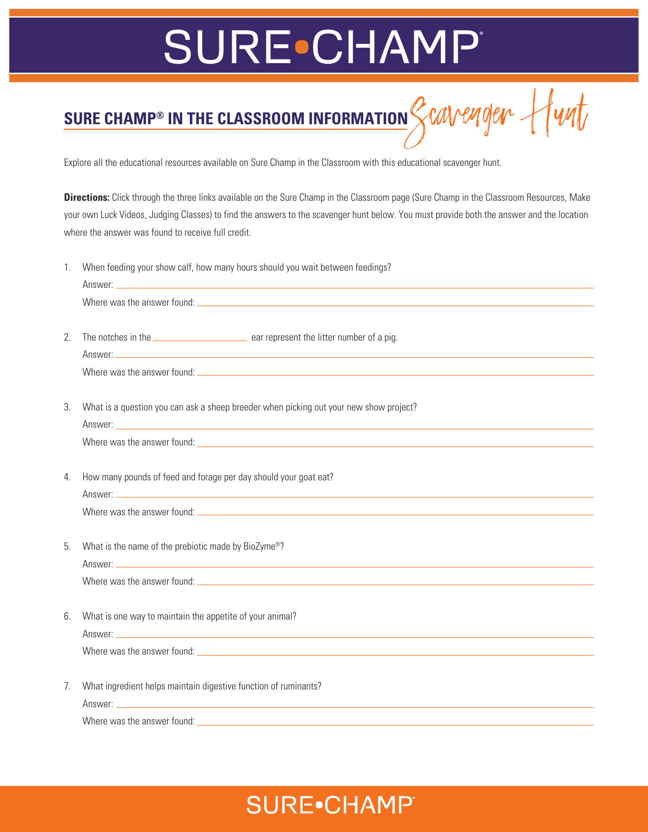## **SURE•CHAMP®**

sure champ<sup>®</sup> in the classroom information *Scavenger* Hunt

Explore all the educational resources available on Sure Champ in the Classroom with this educational scavenger hunt.

**Directions:** Click through the three links available on the Sure Champ in the Classroom page (Sure Champ in the Classroom Resources, Make your own Luck Videos, Judging Classes) to find the answers to the scavenger hunt below. You must provide both the answer and the location where the answer was found to receive full credit.

1. When feeding your show calf, how many hours should you wait between feedings?

|                | Where was the answer found: Letter and the set of the set of the set of the set of the set of the set of the set of the set of the set of the set of the set of the set of the set of the set of the set of the set of the set |
|----------------|--------------------------------------------------------------------------------------------------------------------------------------------------------------------------------------------------------------------------------|
|                |                                                                                                                                                                                                                                |
| 2.             | The notches in the <u>contract the second</u> ear represent the litter number of a pig.                                                                                                                                        |
|                |                                                                                                                                                                                                                                |
|                |                                                                                                                                                                                                                                |
|                |                                                                                                                                                                                                                                |
| 3.             | What is a question you can ask a sheep breeder when picking out your new show project?                                                                                                                                         |
|                |                                                                                                                                                                                                                                |
|                |                                                                                                                                                                                                                                |
|                |                                                                                                                                                                                                                                |
| 4.             | How many pounds of feed and forage per day should your goat eat?                                                                                                                                                               |
|                |                                                                                                                                                                                                                                |
|                |                                                                                                                                                                                                                                |
|                |                                                                                                                                                                                                                                |
| 5.             | What is the name of the prebiotic made by BioZyme®?                                                                                                                                                                            |
|                |                                                                                                                                                                                                                                |
|                | Where was the answer found: Letter that the state of the state of the state of the state of the state of the state of the state of the state of the state of the state of the state of the state of the state of the state of  |
|                |                                                                                                                                                                                                                                |
| 6.             | What is one way to maintain the appetite of your animal?                                                                                                                                                                       |
|                |                                                                                                                                                                                                                                |
|                | Where was the answer found: Letter and the set of the set of the set of the set of the set of the set of the set of the set of the set of the set of the set of the set of the set of the set of the set of the set of the set |
|                |                                                                                                                                                                                                                                |
| 7 <sub>1</sub> | What ingredient helps maintain digestive function of ruminants?                                                                                                                                                                |
|                |                                                                                                                                                                                                                                |
|                |                                                                                                                                                                                                                                |

Where was the answer found:

#### **SURE**•CHAMP